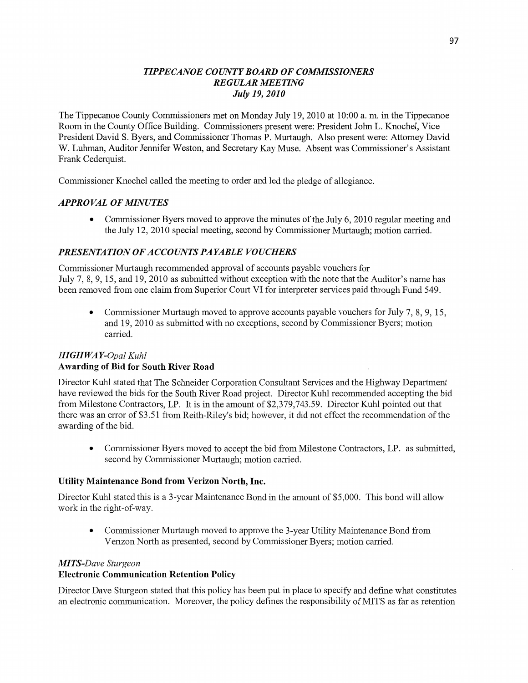### *TIPPECANOE COUNTYBOARD* OF *COMMISSIONERS REGULAR MEETING July* 19, *2010*

The Tippecanoe County Commissioners met on Monday July 19, 2010 at 10:00 a. m. in the Tippecanoe **Room** in the County **Office** Building. Commissioners present were: President John L. Knochel, Vice President David S. Byers, and Commissioner Thomas P. Murtaugh. **Also** present were: Attorney David W. **Luhman,** Auditor Jennifer Weston, and Secretary Kay **Muse. Absent** was Commissioner's **Assistant**  Frank Cederquist.

Commissioner Knochel called the meeting to order and led the pledge of allegiance.

### *APPROVAL* OF *MINUTES*

• Commissioner Byers moved to approve the minutes of the July 6, 2010 regular meeting and the July 12, 2010 special meeting, **second** by Commissioner Murtaugh; motion carried.

# *PRESENTATION* OF *ACCOIHVT S* PA *YABLE VOUCHERS*

Commissioner Murtaugh recommended approval of accounts payable vouchers for July 7, 8, 9, 15, and 19, 2010 as submitted without exception with the note that the Auditor's **name** has been removed from one **claim** from Superior Court V1 for interpreter services paid **through** Fund 549.

**0** Commissioner Murtaugh moved to approve accounts payable vouchers for July 7, 8, 9, 15, and 19, 2010 as submitted with no exceptions, second by Commissioner Byers; motion carried.

## *HIGH* WA *Y-Opal Kuhl*  Awarding of Bid for **South River Road**

Director **Kuhl** stated that The Schneider Corporation Consultant Services and the Highway Department have reviewed the bids for the South River Road project. Director Kuhl recommended accepting the bid from Milestone Contractors, LP. It is in the amount of \$2,379,743.59. Director Kuhl pointed out that there was an error of \$3.51 from Reith-Riley's bid; however, it did not effect the recommendation of the awarding of the bid.

**0** Commissioner Byers moved to accept the bid from Milestone Contractors, LP. as submitted, second by Commissioner Murtaugh; motion carried.

#### **Utility Maintenance Bond from Verizon North,** Inc.

Director Kuhl stated this is a 3-year Maintenance Bond in the amount of \$5,000. This bond will allow work in the right-of-way.

**0** Commissioner **Murtaugh** moved to approve the 3-year Utility Maintenance Bond from Verizon North as presented, second by Commissioner Byers; motion carried.

#### **M** *T S-Dave Sturgeon*

# Electronic **Communication Retention Policy**

Director Dave Sturgeon stated that this policy has been put in place to specify and **define** what constitutes an electronic communication. Moreover, the policy defines the responsibility of **MITS** as far as retention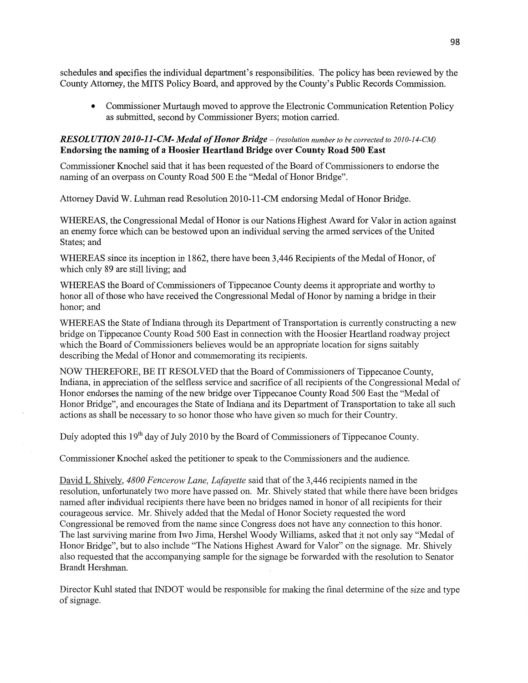schedules and **specifies** the **individual** department's responsibilities. The policy has been reviewed by the County Attorney, the **MITS** Policy Board, and approved by the County's Public Records Commission.

**0** Commissioner **Murtaugh** moved to approve the Electronic **Communication** Retention Policy as **submitted,** second by Commissioner Byers; **motion** carried.

### RESOLUTION 2010-11-CM- Medal of *Honor Bridge* – (resolution number to be corrected to 2010-14-CM) **Endorsing** the naming of **a Hoosier Heartland Bridge over County Road** 500 **East**

Commissioner Knochel said that it has been requested of the Board of Commissioners to endorse the naming of an overpass on County Road 500 E the "Medal of Honor Bridge".

Attorney David W. Luhman read Resolution **2010-1** l-CM endorsing Medal of Honor Bfidge.

WHEREAS, the Congressional Medal of **Honor** is our Nations Highest Award for Valor in **action** against an enemy force which can be bestowed upon an **individual** serving the armed services of the United States; and

WHEREAS since its inception in 1862, **there** have been 3,446 Recipients of the Medal of Honor, of which only 89 are still living; and

WHEREAS the Board of Commissioners of Tippecanoe County deems it appropriate and worthy to honor all of those who have received the Congressional Medal of Honor by naming a bridge in their honor; and

WHEREAS the State of Indiana through its Department of Transportation is currently constructing a new bridge on Tippecanoe County Road 500 East in connection with the Hoosier Heartland roadway project which the Board of Commissioners believes would be an appropriate location for signs suitably describing the Medal of Honor and commemorating its recipients.

NOW THEREFORE, BE IT RESOLVED **that** the Board of Commissioners of Tippecanoe County, **Indiana,** in appreciation of the selfless service and sacrifice of all recipients of the Congressional Medal of Honor endorses the naming of the new bridge over Tippecanoe County Road 500 East the "Medal of Honor Bridge", and encourages the State of Indiana and its Department of Transportation to take all such actions as shall be necessary to so honor those who have given so much for their Country.

Duly adopted this 19<sup>th</sup> day of July 2010 by the Board of Commissioners of Tippecanoe County.

Commissioner Knochel asked the petitioner to speak to the Commissioners and the audience.

David L Shively, *4800 Fencerow Lane, Lafayette* said that of the 3,446 recipients named in the resolution, unfortunately two more have passed on. Mr. Shively stated that while there have **been** bridges named after individual recipients there have been no bridges named in honor of all recipients for their courageous service. Mr. Shively added that the Medal of Honor Society requested the word Congressional be removed from the name since Congress does not have any connection to this honor. The last surviving marine from Iwo Jima, Hershel Woody Williams, asked that it not only say "Medal of Honor Bridge", but to also include **"The** Nations Highest Award for Valor" on the signage. Mr. Shively also requested that the accompanying sample for the signage be forwarded with the resolution to Senator Brandt Hershman.

Director Kuhl stated that INDOT would be responsible for making the final determine of the **size** and type of signage.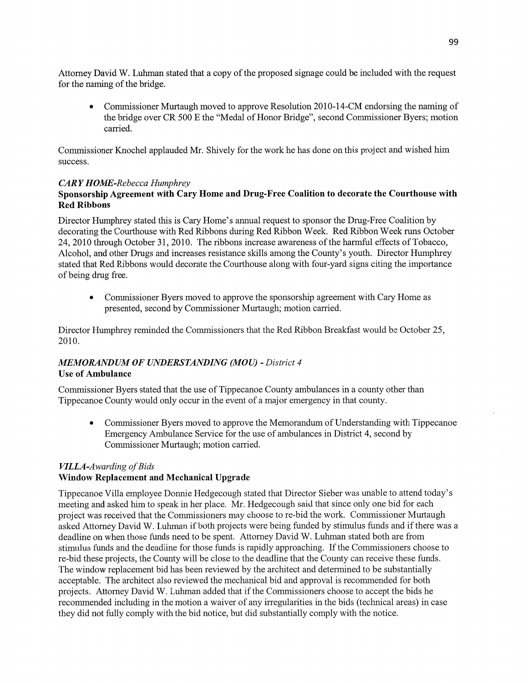Attorney David W. Luhman stated that a copy of the proposed signage could be included with the reques<sup>t</sup> for the **naming** of the bridge.

**0** Commissioner Murtaugh moved to approve Resolution 2010-14-CM endorsing the **naming** of the bridge over CR 500 E the "Medal of Honor Bridge", second Commissioner Byers; motion carried.

Commissioner Knochel applauded Mr. Shively for the work he has done on this project and Wished him success.

## *CARY HOME-Rebecca Humphrey*

# **Sponsorship Agreement with Cary Home** and Drug-Free **Coalition** to **decorate** the **Courthouse** with Red **Ribbons**

Director Humphrey stated this is Cary Home's annual request to sponsor the Drug-Free Coalition by decorating the Courthouse with Red Ribbons during Red Ribbon Week. Red Ribbon Week **runs** October 24, 2010 through October 31, 2010. The ribbons increase awareness of the harmfill effects of Tobacco, Alcohol, and other Drugs and increases resistance skills among the County's youth. Director Humphrey stated that Red **Ribbons** would decorate the Courthouse along with four-yard signs citing the importance of being drug free.

**0** Commissioner Byers moved to approve the **sponsorship** agreement with Cary Home as presented, second by Commissioner Murtaugh; motion carried.

Director Humphrey reminded the Commissioners that the Red Ribbon Breakfast would be October 25, 2010.

# *MEMORANDUM* OF *UNDERSTANDING (MOU) - District 4*  Use of **Ambulance**

Commissioner Byers stated that the use of Tippecanoe County ambulances in a county other than Tippecanoe County would only occur in the event of a major emergency in that county.

**0** Commissioner Byers moved to approve the Memorandum of Understanding with Tippecanoe Emergency Ambulance Service for the use of ambulances in District 4, second by Commissioner Murtaugh; motion carried.

### *VILLA-Awarding* of *Bids*  Window **Replacement** and **Mechanical Upgrade**

Tippecanoe Villa employee Donnie Hedgecough stated that Director Sieber was unable to attend today's meeting and asked him to speak in her place. Mr. Hedgecough said that since only one bid for each project was received that the Commissioners may choose to re-bid the work. Commissioner Murtaugh asked Attorney David W. Luhman if both projects were being funded by stimulus funds and if there was **<sup>a</sup>** deadline on **when** those **funds** need to be spent. Attorney David W. Luhman stated both are from stimulus funds and the deadline for those funds is rapidly approaching. If the Commissioners choose to re-bid these projects, the County will be close to the deadline that the County can receive these funds. The window replacement bid has been reviewed by the architect and determined to be substantially acceptable. The architect also reviewed the mechanical bid and approval is recommended for both projects. Attorney David W. Luhman added that if the Commissioners choose to accept the bids he recommended including in the motion a waiver of any irregularities in the bids (technical areas) in case they did not fully comply with the bid notice, but did substantially comply with the notice.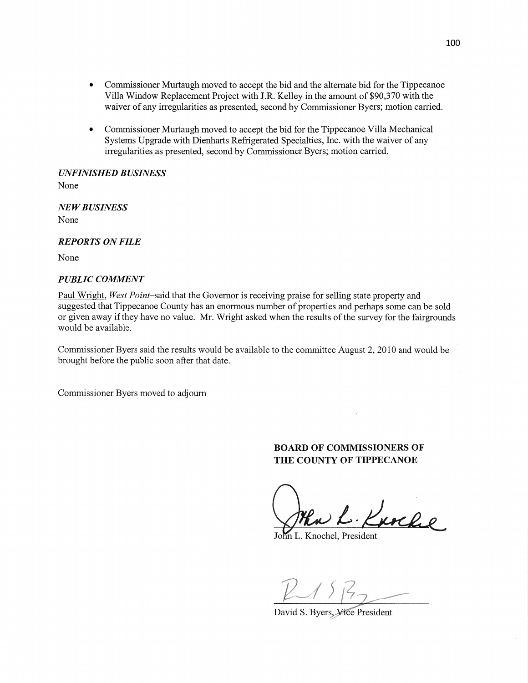- **0** Commissioner Murtaugh moved to accept the bid and the alternate bid for the Tippecanoe Villa Window Replacement Project with IR. Kelley in the amount of \$90,370 with the waiver of any irregularities as presented, second by Commissioner Byers; motion carried.
- **0** Commissioner Murtaugh moved to accept the bid for the Tippecanoe Villa Mechanical Systems Upgrade with Dienharts Refrigerated Specialties, Inc. with the waiver of any irregularities as presented, second by Commissioner Byers; motion carried.

*UNFINISHED B USINESS* 

None

NE WB *USINESS*  None

#### *REPORTS* ON *FILE*

None

#### *PUBLIC COMMENT*

Paul Wright, *West Point—said* that the Governor is receiving prajse for selling state property and suggested that Tippecanoe County has an enormous number of properties and perhaps some can be sold or given away if they have no value. Mr. Wright asked when the results of the survey for the fairgrounds would be available.

Commissioner Byers said the results would be available to the committee August 2, 2010 and would be brought before the public soon after that date.

Commissioner Byers moved to adjourn

### **BOARD** OF **COMMISSIONERS** OF THE **COUNTY** OF **TIPPECANOE**

John L. Kurche

n L. Knochel, President

2/ *f/Z7/* 

David S. Byers, Vice President